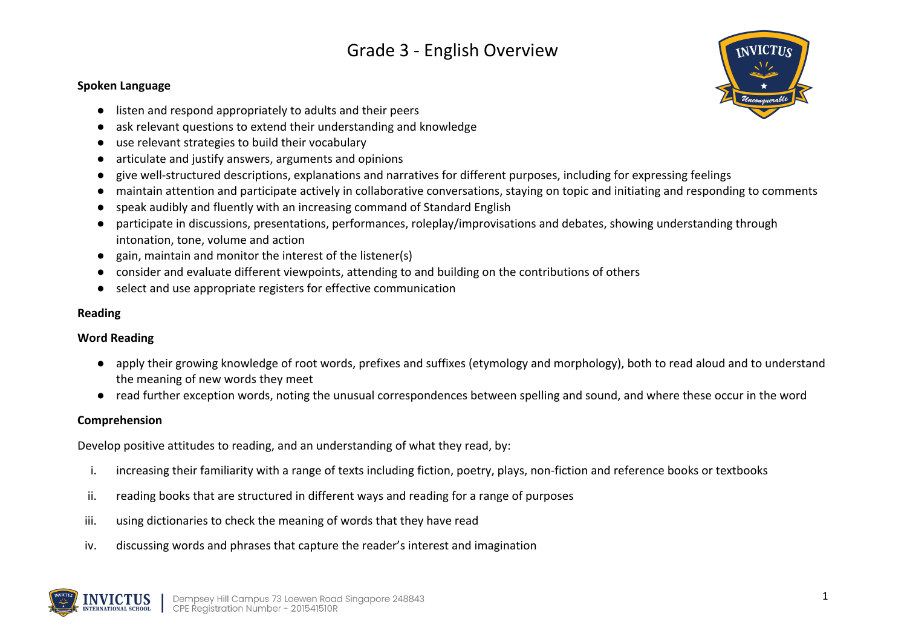#### **Spoken Language**

- listen and respond appropriately to adults and their peers
- ask relevant questions to extend their understanding and knowledge
- use relevant strategies to build their vocabulary
- articulate and justify answers, arguments and opinions
- give well-structured descriptions, explanations and narratives for different purposes, including for expressing feelings
- maintain attention and participate actively in collaborative conversations, staying on topic and initiating and responding to comments
- speak audibly and fluently with an increasing command of Standard English
- participate in discussions, presentations, performances, roleplay/improvisations and debates, showing understanding through intonation, tone, volume and action
- gain, maintain and monitor the interest of the listener(s)
- consider and evaluate different viewpoints, attending to and building on the contributions of others
- select and use appropriate registers for effective communication

### **Reading**

## **Word Reading**

- apply their growing knowledge of root words, prefixes and suffixes (etymology and morphology), both to read aloud and to understand the meaning of new words they meet
- read further exception words, noting the unusual correspondences between spelling and sound, and where these occur in the word

### **Comprehension**

Develop positive attitudes to reading, and an understanding of what they read, by:

- i. increasing their familiarity with a range of texts including fiction, poetry, plays, non-fiction and reference books or textbooks
- ii. reading books that are structured in different ways and reading for a range of purposes
- iii. using dictionaries to check the meaning of words that they have read
- iv. discussing words and phrases that capture the reader's interest and imagination



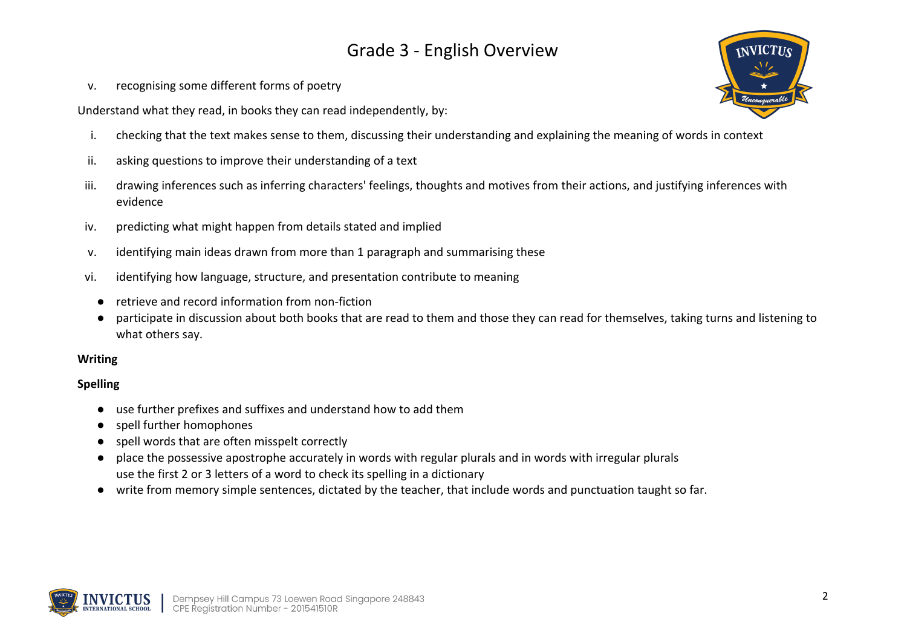v. recognising some different forms of poetry

Understand what they read, in books they can read independently, by:

- i. checking that the text makes sense to them, discussing their understanding and explaining the meaning of words in context
- ii. asking questions to improve their understanding of a text
- iii. drawing inferences such as inferring characters' feelings, thoughts and motives from their actions, and justifying inferences with evidence
- iv. predicting what might happen from details stated and implied
- v. identifying main ideas drawn from more than 1 paragraph and summarising these
- vi. identifying how language, structure, and presentation contribute to meaning
	- retrieve and record information from non-fiction
	- participate in discussion about both books that are read to them and those they can read for themselves, taking turns and listening to what others say.

### **Writing**

### **Spelling**

- use further prefixes and suffixes and understand how to add them
- spell further homophones
- spell words that are often misspelt correctly
- place the possessive apostrophe accurately in words with regular plurals and in words with irregular plurals use the first 2 or 3 letters of a word to check its spelling in a dictionary
- write from memory simple sentences, dictated by the teacher, that include words and punctuation taught so far.



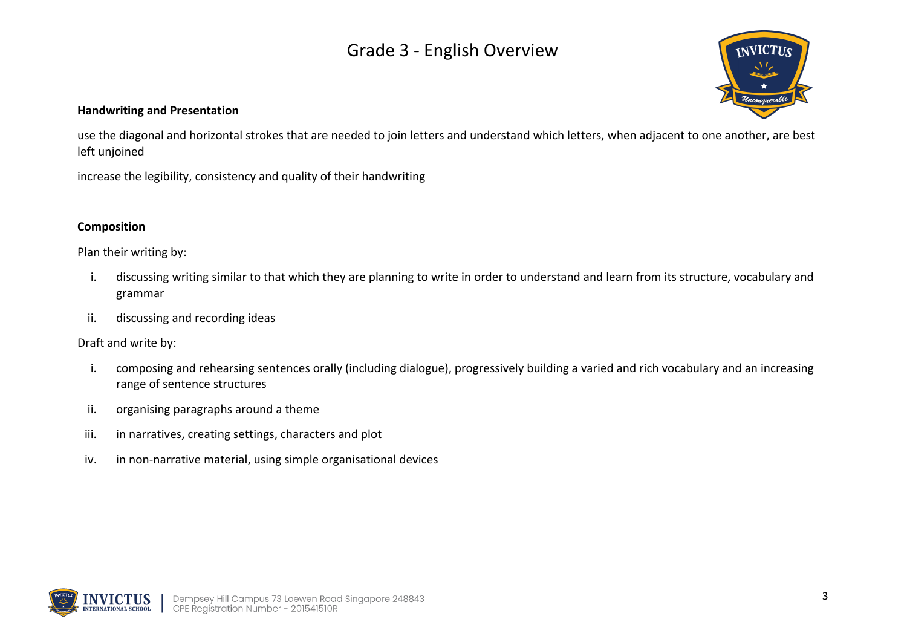

### **Handwriting and Presentation**

use the diagonal and horizontal strokes that are needed to join letters and understand which letters, when adjacent to one another, are best left unjoined

increase the legibility, consistency and quality of their handwriting

#### **Composition**

Plan their writing by:

- i. discussing writing similar to that which they are planning to write in order to understand and learn from its structure, vocabulary and grammar
- ii. discussing and recording ideas

Draft and write by:

- i. composing and rehearsing sentences orally (including dialogue), progressively building a varied and rich vocabulary and an increasing range of sentence structures
- ii. organising paragraphs around a theme
- iii. in narratives, creating settings, characters and plot
- iv. in non-narrative material, using simple organisational devices